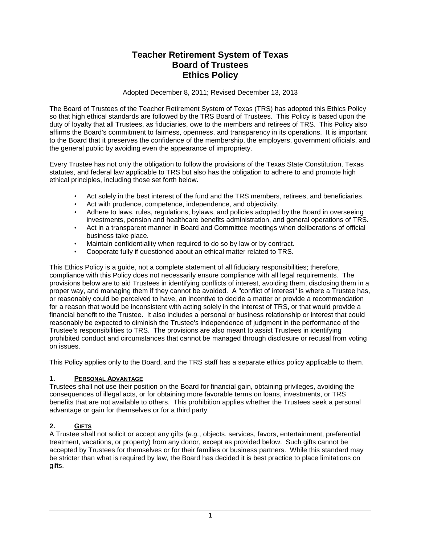# **Teacher Retirement System of Texas Board of Trustees Ethics Policy**

Adopted December 8, 2011; Revised December 13, 2013

The Board of Trustees of the Teacher Retirement System of Texas (TRS) has adopted this Ethics Policy so that high ethical standards are followed by the TRS Board of Trustees. This Policy is based upon the duty of loyalty that all Trustees, as fiduciaries, owe to the members and retirees of TRS. This Policy also affirms the Board's commitment to fairness, openness, and transparency in its operations. It is important to the Board that it preserves the confidence of the membership, the employers, government officials, and the general public by avoiding even the appearance of impropriety.

Every Trustee has not only the obligation to follow the provisions of the Texas State Constitution, Texas statutes, and federal law applicable to TRS but also has the obligation to adhere to and promote high ethical principles, including those set forth below.

- Act solely in the best interest of the fund and the TRS members, retirees, and beneficiaries.
- Act with prudence, competence, independence, and objectivity.
- Adhere to laws, rules, regulations, bylaws, and policies adopted by the Board in overseeing investments, pension and healthcare benefits administration, and general operations of TRS.
- Act in a transparent manner in Board and Committee meetings when deliberations of official business take place.
- Maintain confidentiality when required to do so by law or by contract.
- Cooperate fully if questioned about an ethical matter related to TRS.

This Ethics Policy is a guide, not a complete statement of all fiduciary responsibilities; therefore, compliance with this Policy does not necessarily ensure compliance with all legal requirements. The provisions below are to aid Trustees in identifying conflicts of interest, avoiding them, disclosing them in a proper way, and managing them if they cannot be avoided. A "conflict of interest" is where a Trustee has, or reasonably could be perceived to have, an incentive to decide a matter or provide a recommendation for a reason that would be inconsistent with acting solely in the interest of TRS, or that would provide a financial benefit to the Trustee. It also includes a personal or business relationship or interest that could reasonably be expected to diminish the Trustee's independence of judgment in the performance of the Trustee's responsibilities to TRS. The provisions are also meant to assist Trustees in identifying prohibited conduct and circumstances that cannot be managed through disclosure or recusal from voting on issues.

This Policy applies only to the Board, and the TRS staff has a separate ethics policy applicable to them.

## **1. PERSONAL ADVANTAGE**

Trustees shall not use their position on the Board for financial gain, obtaining privileges, avoiding the consequences of illegal acts, or for obtaining more favorable terms on loans, investments, or TRS benefits that are not available to others. This prohibition applies whether the Trustees seek a personal advantage or gain for themselves or for a third party.

## **2. GIFTS**

A Trustee shall not solicit or accept any gifts (*e.g.*, objects, services, favors, entertainment, preferential treatment, vacations, or property) from any donor, except as provided below. Such gifts cannot be accepted by Trustees for themselves or for their families or business partners. While this standard may be stricter than what is required by law, the Board has decided it is best practice to place limitations on gifts.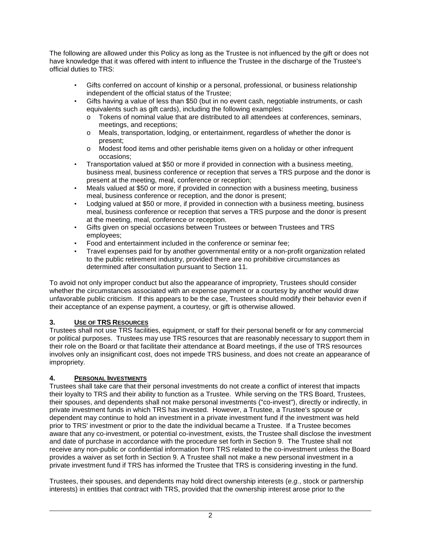The following are allowed under this Policy as long as the Trustee is not influenced by the gift or does not have knowledge that it was offered with intent to influence the Trustee in the discharge of the Trustee's official duties to TRS:

- Gifts conferred on account of kinship or a personal, professional, or business relationship independent of the official status of the Trustee;
- Gifts having a value of less than \$50 (but in no event cash, negotiable instruments, or cash equivalents such as gift cards), including the following examples:
	- o Tokens of nominal value that are distributed to all attendees at conferences, seminars, meetings, and receptions;
	- o Meals, transportation, lodging, or entertainment, regardless of whether the donor is present;
	- o Modest food items and other perishable items given on a holiday or other infrequent occasions;
- Transportation valued at \$50 or more if provided in connection with a business meeting, business meal, business conference or reception that serves a TRS purpose and the donor is present at the meeting, meal, conference or reception;
- Meals valued at \$50 or more, if provided in connection with a business meeting, business meal, business conference or reception, and the donor is present;
- Lodging valued at \$50 or more, if provided in connection with a business meeting, business meal, business conference or reception that serves a TRS purpose and the donor is present at the meeting, meal, conference or reception.
- Gifts given on special occasions between Trustees or between Trustees and TRS employees;
- Food and entertainment included in the conference or seminar fee;
- Travel expenses paid for by another governmental entity or a non-profit organization related to the public retirement industry, provided there are no prohibitive circumstances as determined after consultation pursuant to Section 11.

To avoid not only improper conduct but also the appearance of impropriety, Trustees should consider whether the circumstances associated with an expense payment or a courtesy by another would draw unfavorable public criticism. If this appears to be the case, Trustees should modify their behavior even if their acceptance of an expense payment, a courtesy, or gift is otherwise allowed.

## **3. USE OF TRS RESOURCES**

Trustees shall not use TRS facilities, equipment, or staff for their personal benefit or for any commercial or political purposes. Trustees may use TRS resources that are reasonably necessary to support them in their role on the Board or that facilitate their attendance at Board meetings, if the use of TRS resources involves only an insignificant cost, does not impede TRS business, and does not create an appearance of impropriety.

## **4. PERSONAL INVESTMENTS**

Trustees shall take care that their personal investments do not create a conflict of interest that impacts their loyalty to TRS and their ability to function as a Trustee. While serving on the TRS Board, Trustees, their spouses, and dependents shall not make personal investments ("co-invest"), directly or indirectly, in private investment funds in which TRS has invested. However, a Trustee, a Trustee's spouse or dependent may continue to hold an investment in a private investment fund if the investment was held prior to TRS' investment or prior to the date the individual became a Trustee. If a Trustee becomes aware that any co-investment, or potential co-investment, exists, the Trustee shall disclose the investment and date of purchase in accordance with the procedure set forth in Section 9. The Trustee shall not receive any non-public or confidential information from TRS related to the co-investment unless the Board provides a waiver as set forth in Section 9. A Trustee shall not make a new personal investment in a private investment fund if TRS has informed the Trustee that TRS is considering investing in the fund.

Trustees, their spouses, and dependents may hold direct ownership interests (*e.g.*, stock or partnership interests) in entities that contract with TRS, provided that the ownership interest arose prior to the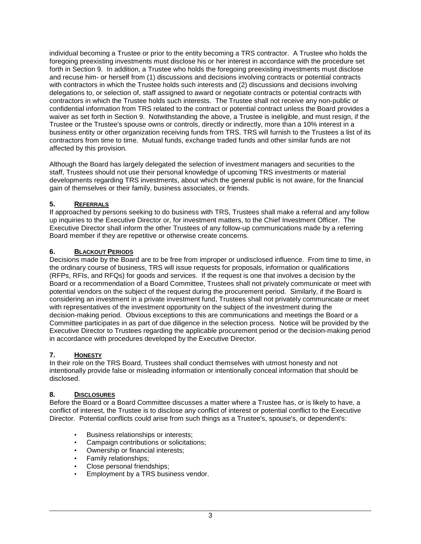individual becoming a Trustee or prior to the entity becoming a TRS contractor. A Trustee who holds the foregoing preexisting investments must disclose his or her interest in accordance with the procedure set forth in Section 9. In addition, a Trustee who holds the foregoing preexisting investments must disclose and recuse him- or herself from (1) discussions and decisions involving contracts or potential contracts with contractors in which the Trustee holds such interests and (2) discussions and decisions involving delegations to, or selection of, staff assigned to award or negotiate contracts or potential contracts with contractors in which the Trustee holds such interests. The Trustee shall not receive any non-public or confidential information from TRS related to the contract or potential contract unless the Board provides a waiver as set forth in Section 9. Notwithstanding the above, a Trustee is ineligible, and must resign, if the Trustee or the Trustee's spouse owns or controls, directly or indirectly, more than a 10% interest in a business entity or other organization receiving funds from TRS. TRS will furnish to the Trustees a list of its contractors from time to time. Mutual funds, exchange traded funds and other similar funds are not affected by this provision.

Although the Board has largely delegated the selection of investment managers and securities to the staff, Trustees should not use their personal knowledge of upcoming TRS investments or material developments regarding TRS investments, about which the general public is not aware, for the financial gain of themselves or their family, business associates, or friends.

## **5. REFERRALS**

If approached by persons seeking to do business with TRS, Trustees shall make a referral and any follow up inquiries to the Executive Director or, for investment matters, to the Chief Investment Officer. The Executive Director shall inform the other Trustees of any follow-up communications made by a referring Board member if they are repetitive or otherwise create concerns.

## **6. BLACKOUT PERIODS**

Decisions made by the Board are to be free from improper or undisclosed influence. From time to time, in the ordinary course of business, TRS will issue requests for proposals, information or qualifications (RFPs, RFIs, and RFQs) for goods and services. If the request is one that involves a decision by the Board or a recommendation of a Board Committee, Trustees shall not privately communicate or meet with potential vendors on the subject of the request during the procurement period. Similarly, if the Board is considering an investment in a private investment fund, Trustees shall not privately communicate or meet with representatives of the investment opportunity on the subject of the investment during the decision-making period. Obvious exceptions to this are communications and meetings the Board or a Committee participates in as part of due diligence in the selection process. Notice will be provided by the Executive Director to Trustees regarding the applicable procurement period or the decision-making period in accordance with procedures developed by the Executive Director.

## **7. HONESTY**

In their role on the TRS Board, Trustees shall conduct themselves with utmost honesty and not intentionally provide false or misleading information or intentionally conceal information that should be disclosed.

## **8. DISCLOSURES**

Before the Board or a Board Committee discusses a matter where a Trustee has, or is likely to have, a conflict of interest, the Trustee is to disclose any conflict of interest or potential conflict to the Executive Director. Potential conflicts could arise from such things as a Trustee's, spouse's, or dependent's:

- Business relationships or interests;
- Campaign contributions or solicitations;
- Ownership or financial interests;
- Family relationships;
- Close personal friendships;
- Employment by a TRS business vendor.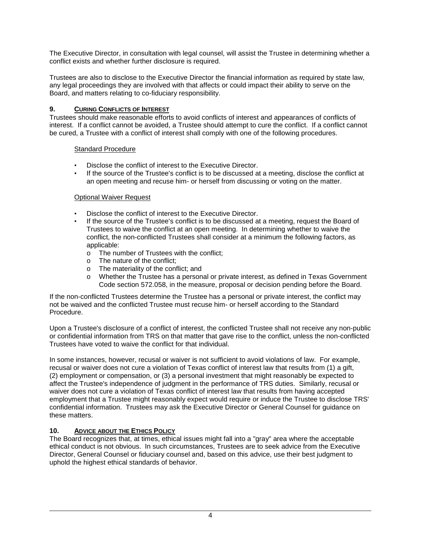The Executive Director, in consultation with legal counsel, will assist the Trustee in determining whether a conflict exists and whether further disclosure is required.

Trustees are also to disclose to the Executive Director the financial information as required by state law, any legal proceedings they are involved with that affects or could impact their ability to serve on the Board, and matters relating to co-fiduciary responsibility.

#### **9. CURING CONFLICTS OF INTEREST**

Trustees should make reasonable efforts to avoid conflicts of interest and appearances of conflicts of interest. If a conflict cannot be avoided, a Trustee should attempt to cure the conflict. If a conflict cannot be cured, a Trustee with a conflict of interest shall comply with one of the following procedures.

#### Standard Procedure

- Disclose the conflict of interest to the Executive Director.
- If the source of the Trustee's conflict is to be discussed at a meeting, disclose the conflict at an open meeting and recuse him- or herself from discussing or voting on the matter.

#### Optional Waiver Request

- Disclose the conflict of interest to the Executive Director.<br>• If the source of the Trustee's conflict is to be discussed at
- If the source of the Trustee's conflict is to be discussed at a meeting, request the Board of Trustees to waive the conflict at an open meeting. In determining whether to waive the conflict, the non-conflicted Trustees shall consider at a minimum the following factors, as applicable:
	- o The number of Trustees with the conflict;
	- o The nature of the conflict;
	- o The materiality of the conflict; and
	- o Whether the Trustee has a personal or private interest, as defined in Texas Government Code section 572.058, in the measure, proposal or decision pending before the Board.

If the non-conflicted Trustees determine the Trustee has a personal or private interest, the conflict may not be waived and the conflicted Trustee must recuse him- or herself according to the Standard Procedure.

Upon a Trustee's disclosure of a conflict of interest, the conflicted Trustee shall not receive any non-public or confidential information from TRS on that matter that gave rise to the conflict, unless the non-conflicted Trustees have voted to waive the conflict for that individual.

In some instances, however, recusal or waiver is not sufficient to avoid violations of law. For example, recusal or waiver does not cure a violation of Texas conflict of interest law that results from (1) a gift, (2) employment or compensation, or (3) a personal investment that might reasonably be expected to affect the Trustee's independence of judgment in the performance of TRS duties. Similarly, recusal or waiver does not cure a violation of Texas conflict of interest law that results from having accepted employment that a Trustee might reasonably expect would require or induce the Trustee to disclose TRS' confidential information. Trustees may ask the Executive Director or General Counsel for guidance on these matters.

#### **10. ADVICE ABOUT THE ETHICS POLICY**

The Board recognizes that, at times, ethical issues might fall into a "gray" area where the acceptable ethical conduct is not obvious. In such circumstances, Trustees are to seek advice from the Executive Director, General Counsel or fiduciary counsel and, based on this advice, use their best judgment to uphold the highest ethical standards of behavior.